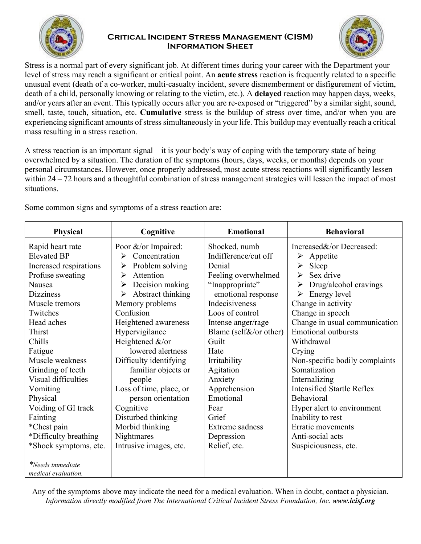

## **Critical Incident Stress Management (CISM) Information Sheet**



Stress is a normal part of every significant job. At different times during your career with the Department your level of stress may reach a significant or critical point. An **acute stress** reaction is frequently related to a specific unusual event (death of a co-worker, multi-casualty incident, severe dismemberment or disfigurement of victim, death of a child, personally knowing or relating to the victim, etc.). A **delayed** reaction may happen days, weeks, and/or years after an event. This typically occurs after you are re-exposed or "triggered" by a similar sight, sound, smell, taste, touch, situation, etc. **Cumulative** stress is the buildup of stress over time, and/or when you are experiencing significant amounts of stress simultaneously in your life. This buildup may eventually reach a critical mass resulting in a stress reaction.

A stress reaction is an important signal – it is your body's way of coping with the temporary state of being overwhelmed by a situation. The duration of the symptoms (hours, days, weeks, or months) depends on your personal circumstances. However, once properly addressed, most acute stress reactions will significantly lessen within 24 – 72 hours and a thoughtful combination of stress management strategies will lessen the impact of most situations.

Some common signs and symptoms of a stress reaction are:

| Physical                   | Cognitive                          | <b>Emotional</b>       | <b>Behavioral</b>                              |
|----------------------------|------------------------------------|------------------------|------------------------------------------------|
| Rapid heart rate           | Poor &/or Impaired:                | Shocked, numb          | Increased&/or Decreased:                       |
| <b>Elevated BP</b>         | $\triangleright$ Concentration     | Indifference/cut off   | $\triangleright$ Appetite                      |
| Increased respirations     | Problem solving<br>➤               | Denial                 | Sleep<br>➤                                     |
| Profuse sweating           | Attention<br>➤                     | Feeling overwhelmed    | Sex drive<br>➤                                 |
| Nausea                     | Decision making<br>➤               | "Inappropriate"        | Drug/alcohol cravings<br>$\blacktriangleright$ |
| <b>Dizziness</b>           | $\triangleright$ Abstract thinking | emotional response     | $\triangleright$ Energy level                  |
| Muscle tremors             | Memory problems                    | Indecisiveness         | Change in activity                             |
| Twitches                   | Confusion                          | Loos of control        | Change in speech                               |
| Head aches                 | Heightened awareness               | Intense anger/rage     | Change in usual communication                  |
| Thirst                     | Hypervigilance                     | Blame (self&/or other) | <b>Emotional outbursts</b>                     |
| Chills                     | Heightened &/or                    | Guilt                  | Withdrawal                                     |
| Fatigue                    | lowered alertness                  | Hate                   | Crying                                         |
| Muscle weakness            | Difficulty identifying             | Irritability           | Non-specific bodily complaints                 |
| Grinding of teeth          | familiar objects or                | Agitation              | Somatization                                   |
| Visual difficulties        | people                             | Anxiety                | Internalizing                                  |
| Vomiting                   | Loss of time, place, or            | Apprehension           | <b>Intensified Startle Reflex</b>              |
| Physical                   | person orientation                 | Emotional              | <b>Behavioral</b>                              |
| Voiding of GI track        | Cognitive                          | Fear                   | Hyper alert to environment                     |
| Fainting                   | Disturbed thinking                 | Grief                  | Inability to rest                              |
| *Chest pain                | Morbid thinking                    | Extreme sadness        | Erratic movements                              |
| *Difficulty breathing      | Nightmares                         | Depression             | Anti-social acts                               |
| *Shock symptoms, etc.      | Intrusive images, etc.             | Relief, etc.           | Suspiciousness, etc.                           |
|                            |                                    |                        |                                                |
| *Needs immediate           |                                    |                        |                                                |
| <i>medical evaluation.</i> |                                    |                        |                                                |

Any of the symptoms above may indicate the need for a medical evaluation. When in doubt, contact a physician. *Information directly modified from The International Critical Incident Stress Foundation, Inc. www.icisf.org*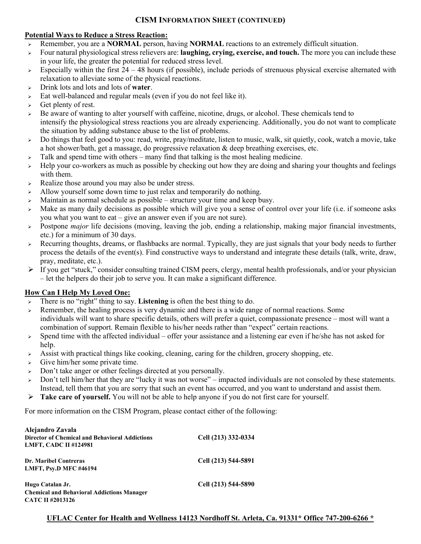## **CISM INFORMATION SHEET (CONTINUED)**

## **Potential Ways to Reduce a Stress Reaction:**

- Remember, you are a **NORMAL** person, having **NORMAL** reactions to an extremely difficult situation.
- Four natural physiological stress relievers are: **laughing, crying, exercise, and touch.** The more you can include these in your life, the greater the potential for reduced stress level.
- $\geq$  Especially within the first 24 48 hours (if possible), include periods of strenuous physical exercise alternated with relaxation to alleviate some of the physical reactions.
- Drink lots and lots and lots of **water**.
- $\geq$  Eat well-balanced and regular meals (even if you do not feel like it).
- $\triangleright$  Get plenty of rest.
- Be aware of wanting to alter yourself with caffeine, nicotine, drugs, or alcohol. These chemicals tend to intensify the physiological stress reactions you are already experiencing. Additionally, you do not want to complicate the situation by adding substance abuse to the list of problems.
- $\triangleright$  Do things that feel good to you: read, write, pray/meditate, listen to music, walk, sit quietly, cook, watch a movie, take a hot shower/bath, get a massage, do progressive relaxation & deep breathing exercises, etc.
- $\geq$  Talk and spend time with others many find that talking is the most healing medicine.
- $\rightarrow$  Help your co-workers as much as possible by checking out how they are doing and sharing your thoughts and feelings with them.
- $\triangleright$  Realize those around you may also be under stress.
- > Allow yourself some down time to just relax and temporarily do nothing.
- $\triangleright$  Maintain as normal schedule as possible structure your time and keep busy.
- $\triangleright$  Make as many daily decisions as possible which will give you a sense of control over your life (i.e. if someone asks you what you want to eat – give an answer even if you are not sure).
- Postpone *major* life decisions (moving, leaving the job, ending a relationship, making major financial investments, etc.) for a minimum of 30 days.
- Recurring thoughts, dreams, or flashbacks are normal. Typically, they are just signals that your body needs to further process the details of the event(s). Find constructive ways to understand and integrate these details (talk, write, draw, pray, meditate, etc.).
- $\triangleright$  If you get "stuck," consider consulting trained CISM peers, clergy, mental health professionals, and/or your physician – let the helpers do their job to serve you. It can make a significant difference.

## **How Can I Help My Loved One:**

- There is no "right" thing to say. **Listening** is often the best thing to do.
- Remember, the healing process is very dynamic and there is a wide range of normal reactions. Some individuals will want to share specific details, others will prefer a quiet, compassionate presence – most will want a combination of support. Remain flexible to his/her needs rather than "expect" certain reactions.
- $\geq$  Spend time with the affected individual offer your assistance and a listening ear even if he/she has not asked for help.
- $\triangleright$  Assist with practical things like cooking, cleaning, caring for the children, grocery shopping, etc.
- $\triangleright$  Give him/her some private time.
- > Don't take anger or other feelings directed at you personally.
- $\geq$  Don't tell him/her that they are "lucky it was not worse" impacted individuals are not consoled by these statements. Instead, tell them that you are sorry that such an event has occurred, and you want to understand and assist them.
- **Take care of yourself.** You will not be able to help anyone if you do not first care for yourself.

For more information on the CISM Program, please contact either of the following:

| Alejandro Zavala<br><b>Director of Chemical and Behavioral Addictions</b><br><b>LMFT, CADC II #124981</b> | Cell (213) 332-0334 |
|-----------------------------------------------------------------------------------------------------------|---------------------|
| <b>Dr. Maribel Contreras</b><br><b>LMFT, Psv.D MFC #46194</b>                                             | Cell (213) 544-5891 |
| Hugo Catalan Jr.<br><b>Chemical and Behavioral Addictions Manager</b><br>CATC II #2013126                 | Cell (213) 544-5890 |

**UFLAC Center for Health and Wellness 14123 Nordhoff St. Arleta, Ca. 91331\* Office 747-200-6266 \***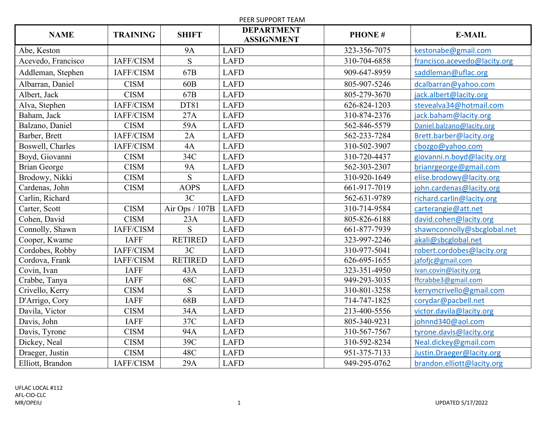| PEER SUPPORT TEAM   |                 |                 |                                        |               |                              |
|---------------------|-----------------|-----------------|----------------------------------------|---------------|------------------------------|
| <b>NAME</b>         | <b>TRAINING</b> | <b>SHIFT</b>    | <b>DEPARTMENT</b><br><b>ASSIGNMENT</b> | <b>PHONE#</b> | <b>E-MAIL</b>                |
| Abe, Keston         |                 | <b>9A</b>       | <b>LAFD</b>                            | 323-356-7075  | kestonabe@gmail.com          |
| Acevedo, Francisco  | IAFF/CISM       | S               | <b>LAFD</b>                            | 310-704-6858  | francisco.acevedo@lacity.org |
| Addleman, Stephen   | IAFF/CISM       | 67B             | <b>LAFD</b>                            | 909-647-8959  | saddleman@uflac.org          |
| Albarran, Daniel    | <b>CISM</b>     | 60 <sub>B</sub> | <b>LAFD</b>                            | 805-907-5246  | dcalbarran@yahoo.com         |
| Albert, Jack        | <b>CISM</b>     | 67B             | <b>LAFD</b>                            | 805-279-3670  | jack.albert@lacity.org       |
| Alva, Stephen       | IAFF/CISM       | DT81            | <b>LAFD</b>                            | 626-824-1203  | stevealva34@hotmail.com      |
| Baham, Jack         | IAFF/CISM       | 27A             | <b>LAFD</b>                            | 310-874-2376  | jack.baham@lacity.org        |
| Balzano, Daniel     | <b>CISM</b>     | 59A             | <b>LAFD</b>                            | 562-846-5579  | Daniel.balzano@lacity.org    |
| Barber, Brett       | IAFF/CISM       | 2A              | <b>LAFD</b>                            | 562-233-7284  | Brett.barber@lacity.org      |
| Boswell, Charles    | IAFF/CISM       | 4A              | <b>LAFD</b>                            | 310-502-3907  | cbozgo@yahoo.com             |
| Boyd, Giovanni      | <b>CISM</b>     | 34C             | <b>LAFD</b>                            | 310-720-4437  | giovanni.n.boyd@lacity.org   |
| <b>Brian George</b> | <b>CISM</b>     | <b>9A</b>       | <b>LAFD</b>                            | 562-303-2307  | brianrgeorge@gmail.com       |
| Brodowy, Nikki      | <b>CISM</b>     | S               | <b>LAFD</b>                            | 310-920-1649  | elise.brodowy@lacity.org     |
| Cardenas, John      | <b>CISM</b>     | <b>AOPS</b>     | <b>LAFD</b>                            | 661-917-7019  | john.cardenas@lacity.org     |
| Carlin, Richard     |                 | 3C              | <b>LAFD</b>                            | 562-631-9789  | richard.carlin@lacity.org    |
| Carter, Scott       | <b>CISM</b>     | Air Ops / 107B  | <b>LAFD</b>                            | 310-714-9584  | carterangie@att.net          |
| Cohen, David        | <b>CISM</b>     | 23A             | <b>LAFD</b>                            | 805-826-6188  | david.cohen@lacity.org       |
| Connolly, Shawn     | IAFF/CISM       | <sub>S</sub>    | <b>LAFD</b>                            | 661-877-7939  | shawnconnolly@sbcglobal.net  |
| Cooper, Kwame       | <b>IAFF</b>     | <b>RETIRED</b>  | <b>LAFD</b>                            | 323-997-2246  | akali@sbcglobal.net          |
| Cordobes, Robby     | IAFF/CISM       | 3C              | <b>LAFD</b>                            | 310-977-5041  | robert.cordobes@lacity.org   |
| Cordova, Frank      | IAFF/CISM       | <b>RETIRED</b>  | <b>LAFD</b>                            | 626-695-1655  | jafofjc@gmail.com            |
| Covin, Ivan         | <b>IAFF</b>     | 43A             | <b>LAFD</b>                            | 323-351-4950  | ivan.covin@lacity.org        |
| Crabbe, Tanya       | <b>IAFF</b>     | 68C             | <b>LAFD</b>                            | 949-293-3035  | ffcrabbe3@gmail.com          |
| Crivello, Kerry     | <b>CISM</b>     | S               | <b>LAFD</b>                            | 310-801-3258  | kerrymcrivello@gmail.com     |
| D'Arrigo, Cory      | <b>IAFF</b>     | 68B             | <b>LAFD</b>                            | 714-747-1825  | corydar@pacbell.net          |
| Davila, Victor      | <b>CISM</b>     | 34A             | <b>LAFD</b>                            | 213-400-5556  | victor.davila@lacity.org     |
| Davis, John         | <b>IAFF</b>     | 37C             | <b>LAFD</b>                            | 805-340-9231  | johnnd340@aol.com            |
| Davis, Tyrone       | <b>CISM</b>     | 94A             | <b>LAFD</b>                            | 310-567-7567  | tyrone.davis@lacity.org      |
| Dickey, Neal        | <b>CISM</b>     | 39C             | <b>LAFD</b>                            | 310-592-8234  | Neal.dickey@gmail.com        |
| Draeger, Justin     | <b>CISM</b>     | 48C             | <b>LAFD</b>                            | 951-375-7133  | Justin.Draeger@lacity.org    |
| Elliott, Brandon    | IAFF/CISM       | 29A             | <b>LAFD</b>                            | 949-295-0762  | brandon.elliott@lacity.org   |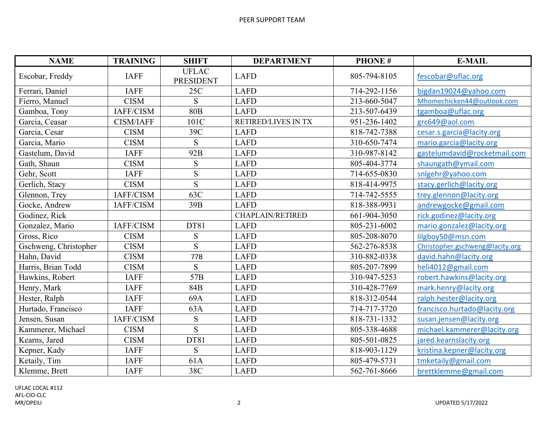| <b>NAME</b>           | <b>TRAINING</b>  | <b>SHIFT</b>                     | <b>DEPARTMENT</b>       | <b>PHONE#</b> | <b>E-MAIL</b>                   |
|-----------------------|------------------|----------------------------------|-------------------------|---------------|---------------------------------|
| Escobar, Freddy       | <b>IAFF</b>      | <b>UFLAC</b><br><b>PRESIDENT</b> | <b>LAFD</b>             | 805-794-8105  | fescobar@uflac.org              |
| Ferrari, Daniel       | <b>IAFF</b>      | 25C                              | <b>LAFD</b>             | 714-292-1156  | bigdan19024@yahoo.com           |
| Fierro, Manuel        | <b>CISM</b>      | S                                | <b>LAFD</b>             | 213-660-5047  | Mhomechicken44@outlook.com      |
| Gamboa, Tony          | IAFF/CISM        | <b>80B</b>                       | <b>LAFD</b>             | 213-507-6439  | tgamboa@uflac.org               |
| Garcia, Ceasar        | <b>CISM/IAFF</b> | 101C                             | RETIRED/LIVES IN TX     | 951-236-1402  | grc649@aol.com                  |
| Garcia, Cesar         | <b>CISM</b>      | 39C                              | <b>LAFD</b>             | 818-742-7388  | cesar.s.garcia@lacity.org       |
| Garcia, Mario         | <b>CISM</b>      | ${\bf S}$                        | <b>LAFD</b>             | 310-650-7474  | mario.garcia@lacity.org         |
| Gastelum, David       | <b>IAFF</b>      | 92B                              | <b>LAFD</b>             | 310-987-8142  | gastelumdavid@rocketmail.com    |
| Gath, Shaun           | <b>CISM</b>      | S                                | <b>LAFD</b>             | 805-404-3774  | shaungath@ymail.com             |
| Gehr, Scott           | <b>IAFF</b>      | ${\bf S}$                        | <b>LAFD</b>             | 714-655-0830  | snlgehr@yahoo.com               |
| Gerlich, Stacy        | <b>CISM</b>      | ${\bf S}$                        | <b>LAFD</b>             | 818-414-9975  | stacy.gerlich@lacity.org        |
| Glennon, Trey         | IAFF/CISM        | 63C                              | <b>LAFD</b>             | 714-742-5555  | trey.glennon@lacity.org         |
| Gocke, Andrew         | IAFF/CISM        | 39B                              | <b>LAFD</b>             | 818-388-9931  | andrewgocke@gmail.com           |
| Godinez, Rick         |                  |                                  | <b>CHAPLAIN/RETIRED</b> | 661-904-3050  | rick.godinez@lacity.org         |
| Gonzalez, Mario       | IAFF/CISM        | DT81                             | <b>LAFD</b>             | 805-231-6002  | mario.gonzalez@lacity.org       |
| Gross, Rico           | <b>CISM</b>      | ${\bf S}$                        | <b>LAFD</b>             | 805-208-8070  | lilgboy50@msn.com               |
| Gschweng, Christopher | <b>CISM</b>      | S                                | <b>LAFD</b>             | 562-276-8538  | Christopher.gschweng@lacity.org |
| Hahn, David           | <b>CISM</b>      | 77B                              | <b>LAFD</b>             | 310-882-0338  | david.hahn@lacity.org           |
| Harris, Brian Todd    | <b>CISM</b>      | <sub>S</sub>                     | <b>LAFD</b>             | 805-207-7899  | heli4012@gmail.com              |
| Hawkins, Robert       | <b>IAFF</b>      | 57 <sub>B</sub>                  | <b>LAFD</b>             | 310-947-5253  | robert.hawkins@lacity.org       |
| Henry, Mark           | <b>IAFF</b>      | 84B                              | <b>LAFD</b>             | 310-428-7769  | mark.henry@lacity.org           |
| Hester, Ralph         | <b>IAFF</b>      | 69A                              | <b>LAFD</b>             | 818-312-0544  | ralph.hester@lacity.org         |
| Hurtado, Francisco    | <b>IAFF</b>      | 63A                              | <b>LAFD</b>             | 714-717-3720  | francisco.hurtado@lacity.org    |
| Jensen, Susan         | IAFF/CISM        | ${\bf S}$                        | <b>LAFD</b>             | 818-731-1332  | susan.jensen@lacity.org         |
| Kammerer, Michael     | <b>CISM</b>      | S                                | <b>LAFD</b>             | 805-338-4688  | michael.kammerer@lacity.org     |
| Kearns, Jared         | <b>CISM</b>      | DT81                             | <b>LAFD</b>             | 805-501-0825  | jared.kearnslacity.org          |
| Kepner, Kady          | <b>IAFF</b>      | S                                | <b>LAFD</b>             | 818-903-1129  | kristina.kepner@lacity.org      |
| Ketaily, Tim          | <b>IAFF</b>      | 61A                              | <b>LAFD</b>             | 805-479-5731  | tmketaily@gmail.com             |
| Klemme, Brett         | <b>IAFF</b>      | 38C                              | <b>LAFD</b>             | 562-761-8666  | brettklemme@gmail.com           |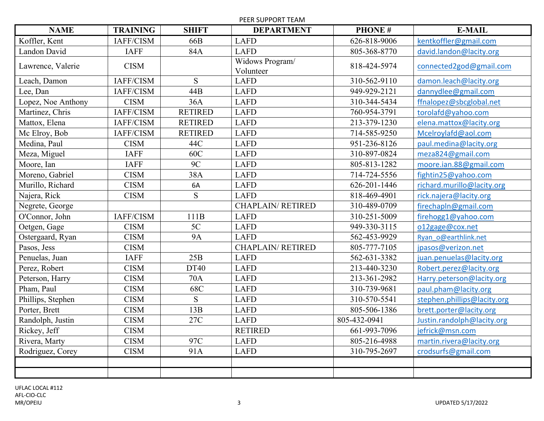PEER SUPPORT TEAM

| <b>NAME</b>        | <b>TRAINING</b> | <b>SHIFT</b>   | <b>DEPARTMENT</b>            | <b>PHONE#</b> | <b>E-MAIL</b>               |
|--------------------|-----------------|----------------|------------------------------|---------------|-----------------------------|
| Koffler, Kent      | IAFF/CISM       | 66B            | <b>LAFD</b>                  | 626-818-9006  | kentkoffler@gmail.com       |
| Landon David       | <b>IAFF</b>     | 84A            | <b>LAFD</b>                  | 805-368-8770  | david.landon@lacity.org     |
| Lawrence, Valerie  | <b>CISM</b>     |                | Widows Program/<br>Volunteer | 818-424-5974  | connected2god@gmail.com     |
| Leach, Damon       | IAFF/CISM       | ${\bf S}$      | <b>LAFD</b>                  | 310-562-9110  | damon.leach@lacity.org      |
| Lee, Dan           | IAFF/CISM       | 44B            | <b>LAFD</b>                  | 949-929-2121  | dannydlee@gmail.com         |
| Lopez, Noe Anthony | <b>CISM</b>     | 36A            | <b>LAFD</b>                  | 310-344-5434  | ffnalopez@sbcglobal.net     |
| Martinez, Chris    | IAFF/CISM       | <b>RETIRED</b> | <b>LAFD</b>                  | 760-954-3791  | torolafd@yahoo.com          |
| Mattox, Elena      | IAFF/CISM       | <b>RETIRED</b> | <b>LAFD</b>                  | 213-379-1230  | elena.mattox@lacity.org     |
| Mc Elroy, Bob      | IAFF/CISM       | <b>RETIRED</b> | <b>LAFD</b>                  | 714-585-9250  | Mcelroylafd@aol.com         |
| Medina, Paul       | <b>CISM</b>     | 44C            | <b>LAFD</b>                  | 951-236-8126  | paul.medina@lacity.org      |
| Meza, Miguel       | <b>IAFF</b>     | 60C            | <b>LAFD</b>                  | 310-897-0824  | meza824@gmail.com           |
| Moore, Ian         | <b>IAFF</b>     | 9C             | <b>LAFD</b>                  | 805-813-1282  | moore.ian.88@gmail.com      |
| Moreno, Gabriel    | <b>CISM</b>     | 38A            | <b>LAFD</b>                  | 714-724-5556  | fightin25@yahoo.com         |
| Murillo, Richard   | <b>CISM</b>     | 6A             | <b>LAFD</b>                  | 626-201-1446  | richard.murillo@lacity.org  |
| Najera, Rick       | <b>CISM</b>     | S              | <b>LAFD</b>                  | 818-469-4901  | rick.najera@lacity.org      |
| Negrete, George    |                 |                | <b>CHAPLAIN/RETIRED</b>      | 310-489-0709  | firechapln@gmail.com        |
| O'Connor, John     | IAFF/CISM       | 111B           | <b>LAFD</b>                  | 310-251-5009  | firehogg1@yahoo.com         |
| Oetgen, Gage       | <b>CISM</b>     | 5C             | <b>LAFD</b>                  | 949-330-3115  | o12gage@cox.net             |
| Ostergaard, Ryan   | <b>CISM</b>     | <b>9A</b>      | <b>LAFD</b>                  | 562-453-9929  | Ryan o@earthlink.net        |
| Pasos, Jess        | <b>CISM</b>     |                | <b>CHAPLAIN/RETIRED</b>      | 805-777-7105  | jpasos@verizon.net          |
| Penuelas, Juan     | <b>IAFF</b>     | 25B            | <b>LAFD</b>                  | 562-631-3382  | juan.penuelas@lacity.org    |
| Perez, Robert      | <b>CISM</b>     | <b>DT40</b>    | <b>LAFD</b>                  | 213-440-3230  | Robert.perez@lacity.org     |
| Peterson, Harry    | <b>CISM</b>     | <b>70A</b>     | <b>LAFD</b>                  | 213-361-2982  | Harry.peterson@lacity.org   |
| Pham, Paul         | <b>CISM</b>     | 68C            | <b>LAFD</b>                  | 310-739-9681  | paul.pham@lacity.org        |
| Phillips, Stephen  | <b>CISM</b>     | S              | <b>LAFD</b>                  | 310-570-5541  | stephen.phillips@lacity.org |
| Porter, Brett      | <b>CISM</b>     | 13B            | <b>LAFD</b>                  | 805-506-1386  | brett.porter@lacity.org     |
| Randolph, Justin   | <b>CISM</b>     | 27C            | <b>LAFD</b>                  | 805-432-0941  | Justin.randolph@lacity.org  |
| Rickey, Jeff       | <b>CISM</b>     |                | <b>RETIRED</b>               | 661-993-7096  | jefrick@msn.com             |
| Rivera, Marty      | <b>CISM</b>     | 97C            | <b>LAFD</b>                  | 805-216-4988  | martin.rivera@lacity.org    |
| Rodriguez, Corey   | <b>CISM</b>     | 91A            | <b>LAFD</b>                  | 310-795-2697  | crodsurfs@gmail.com         |
|                    |                 |                |                              |               |                             |
|                    |                 |                |                              |               |                             |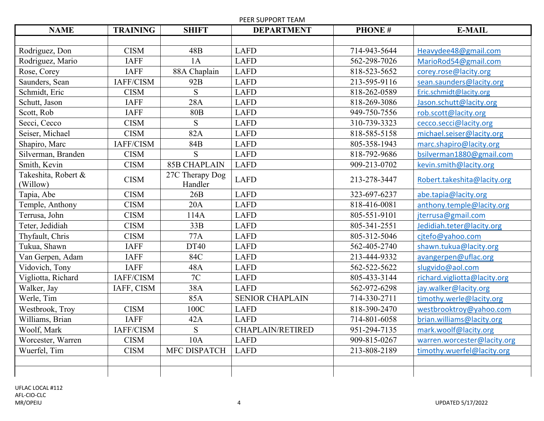PEER SUPPORT TEAM

| <b>NAME</b>                     | <b>TRAINING</b> | <b>SHIFT</b>               | <b>DEPARTMENT</b>       | <b>PHONE#</b> | <b>E-MAIL</b>                |
|---------------------------------|-----------------|----------------------------|-------------------------|---------------|------------------------------|
|                                 |                 |                            |                         |               |                              |
| Rodriguez, Don                  | <b>CISM</b>     | 48B                        | <b>LAFD</b>             | 714-943-5644  | Heavydee48@gmail.com         |
| Rodriguez, Mario                | <b>IAFF</b>     | 1A                         | <b>LAFD</b>             | 562-298-7026  | MarioRod54@gmail.com         |
| Rose, Corey                     | <b>IAFF</b>     | 88A Chaplain               | <b>LAFD</b>             | 818-523-5652  | corey.rose@lacity.org        |
| Saunders, Sean                  | IAFF/CISM       | 92B                        | <b>LAFD</b>             | 213-595-9116  | sean.saunders@lacity.org     |
| Schmidt, Eric                   | <b>CISM</b>     | S                          | <b>LAFD</b>             | 818-262-0589  | Eric.schmidt@lacity.org      |
| Schutt, Jason                   | <b>IAFF</b>     | 28A                        | <b>LAFD</b>             | 818-269-3086  | Jason.schutt@lacity.org      |
| Scott, Rob                      | <b>IAFF</b>     | <b>80B</b>                 | <b>LAFD</b>             | 949-750-7556  | rob.scott@lacity.org         |
| Secci, Cecco                    | <b>CISM</b>     | S                          | <b>LAFD</b>             | 310-739-3323  | cecco.secci@lacity.org       |
| Seiser, Michael                 | <b>CISM</b>     | 82A                        | <b>LAFD</b>             | 818-585-5158  | michael.seiser@lacity.org    |
| Shapiro, Marc                   | IAFF/CISM       | 84B                        | <b>LAFD</b>             | 805-358-1943  | marc.shapiro@lacity.org      |
| Silverman, Branden              | <b>CISM</b>     | S                          | <b>LAFD</b>             | 818-792-9686  | bsilverman1880@gmail.com     |
| Smith, Kevin                    | <b>CISM</b>     | <b>85B CHAPLAIN</b>        | <b>LAFD</b>             | 909-213-0702  | kevin.smith@lacity.org       |
| Takeshita, Robert &<br>(Willow) | <b>CISM</b>     | 27C Therapy Dog<br>Handler | <b>LAFD</b>             | 213-278-3447  | Robert.takeshita@lacity.org  |
| Tapia, Abe                      | <b>CISM</b>     | 26B                        | <b>LAFD</b>             | 323-697-6237  | abe.tapia@lacity.org         |
| Temple, Anthony                 | <b>CISM</b>     | 20A                        | <b>LAFD</b>             | 818-416-0081  | anthony.temple@lacity.org    |
| Terrusa, John                   | <b>CISM</b>     | 114A                       | <b>LAFD</b>             | 805-551-9101  | jterrusa@gmail.com           |
| Teter, Jedidiah                 | <b>CISM</b>     | 33B                        | <b>LAFD</b>             | 805-341-2551  | Jedidiah.teter@lacity.org    |
| Thyfault, Chris                 | <b>CISM</b>     | 77A                        | <b>LAFD</b>             | 805-312-5046  | cjtefo@yahoo.com             |
| Tukua, Shawn                    | <b>IAFF</b>     | DT40                       | <b>LAFD</b>             | 562-405-2740  | shawn.tukua@lacity.org       |
| Van Gerpen, Adam                | <b>IAFF</b>     | 84C                        | <b>LAFD</b>             | 213-444-9332  | avangerpen@uflac.org         |
| Vidovich, Tony                  | <b>IAFF</b>     | 48A                        | <b>LAFD</b>             | 562-522-5622  | slugvido@aol.com             |
| Vigliotta, Richard              | IAFF/CISM       | 7C                         | <b>LAFD</b>             | 805-433-3144  | richard.vigliotta@lacity.org |
| Walker, Jay                     | IAFF, CISM      | 38A                        | <b>LAFD</b>             | 562-972-6298  | jay.walker@lacity.org        |
| Werle, Tim                      |                 | 85A                        | <b>SENIOR CHAPLAIN</b>  | 714-330-2711  | timothy.werle@lacity.org     |
| Westbrook, Troy                 | <b>CISM</b>     | 100C                       | <b>LAFD</b>             | 818-390-2470  | westbrooktroy@yahoo.com      |
| Williams, Brian                 | <b>IAFF</b>     | 42A                        | <b>LAFD</b>             | 714-801-6058  | brian.williams@lacity.org    |
| Woolf, Mark                     | IAFF/CISM       | S                          | <b>CHAPLAIN/RETIRED</b> | 951-294-7135  | mark.woolf@lacity.org        |
| Worcester, Warren               | <b>CISM</b>     | 10A                        | <b>LAFD</b>             | 909-815-0267  | warren.worcester@lacity.org  |
| Wuerfel, Tim                    | <b>CISM</b>     | MFC DISPATCH               | <b>LAFD</b>             | 213-808-2189  | timothy.wuerfel@lacity.org   |
|                                 |                 |                            |                         |               |                              |
|                                 |                 |                            |                         |               |                              |